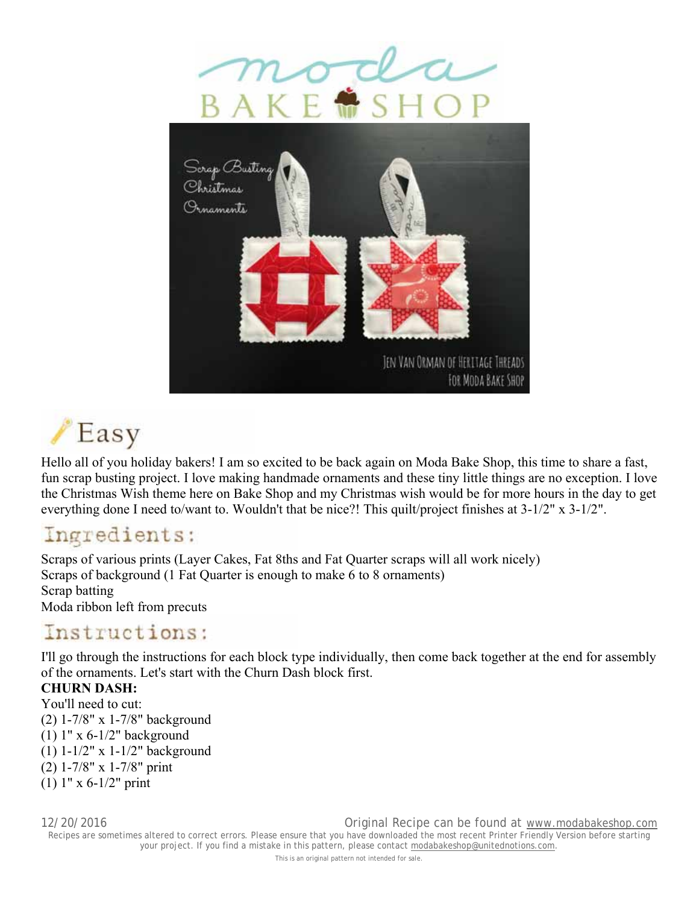





Hello all of you holiday bakers! I am so excited to be back again on Moda Bake Shop, this time to share a fast, fun scrap busting project. I love making handmade ornaments and these tiny little things are no exception. I love the Christmas Wish theme here on Bake Shop and my Christmas wish would be for more hours in the day to get everything done I need to/want to. Wouldn't that be nice?! This quilt/project finishes at 3-1/2" x 3-1/2".

## Ingredients:

Scraps of various prints (Layer Cakes, Fat 8ths and Fat Quarter scraps will all work nicely) Scraps of background (1 Fat Quarter is enough to make 6 to 8 ornaments) Scrap batting Moda ribbon left from precuts

### Instructions:

I'll go through the instructions for each block type individually, then come back together at the end for assembly of the ornaments. Let's start with the Churn Dash block first.

#### **CHURN DASH:**

You'll need to cut: (2) 1-7/8" x 1-7/8" background (1) 1" x 6-1/2" background (1) 1-1/2" x 1-1/2" background (2) 1-7/8" x 1-7/8" print (1) 1" x 6-1/2" print

12/20/2016 Original Recipe can be found at www.modabakeshop.com Recipes are sometimes altered to correct errors. Please ensure that you have downloaded the most recent Printer Friendly Version before starting your project. If you find a mistake in this pattern, please contact modabakeshop@unitednotions.com.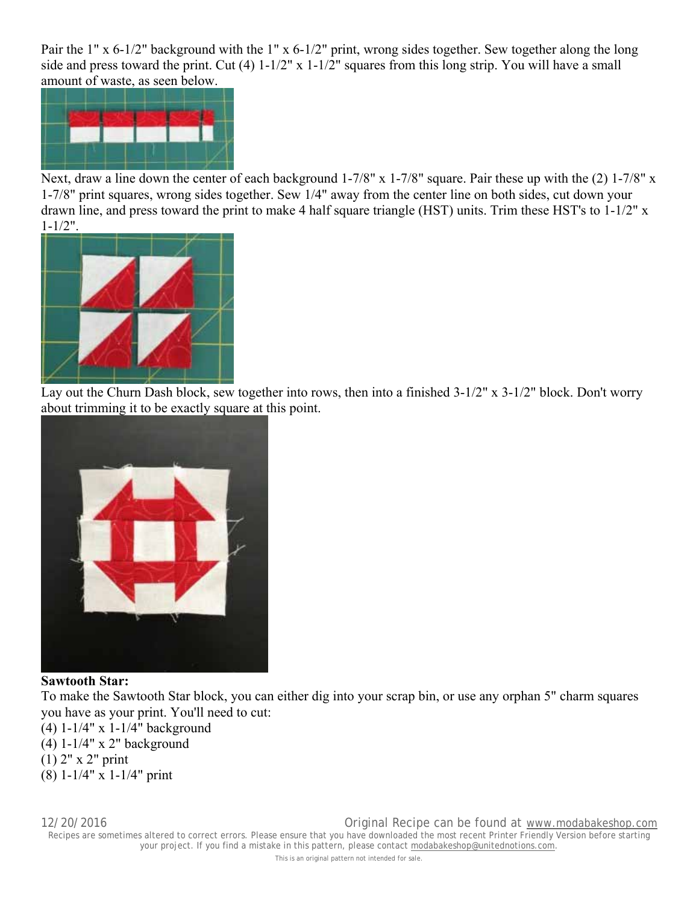Pair the 1" x 6-1/2" background with the 1" x 6-1/2" print, wrong sides together. Sew together along the long side and press toward the print. Cut (4) 1-1/2" x 1-1/2" squares from this long strip. You will have a small amount of waste, as seen below.



Next, draw a line down the center of each background 1-7/8" x 1-7/8" square. Pair these up with the (2) 1-7/8" x 1-7/8" print squares, wrong sides together. Sew 1/4" away from the center line on both sides, cut down your drawn line, and press toward the print to make 4 half square triangle (HST) units. Trim these HST's to 1-1/2" x 1-1/2".



Lay out the Churn Dash block, sew together into rows, then into a finished 3-1/2" x 3-1/2" block. Don't worry about trimming it to be exactly square at this point.



#### **Sawtooth Star:**

To make the Sawtooth Star block, you can either dig into your scrap bin, or use any orphan 5" charm squares you have as your print. You'll need to cut:

(4) 1-1/4" x 1-1/4" background

(4) 1-1/4" x 2" background

(1) 2" x 2" print

(8) 1-1/4" x 1-1/4" print

12/20/2016 Original Recipe can be found at www.modabakeshop.com Recipes are sometimes altered to correct errors. Please ensure that you have downloaded the most recent Printer Friendly Version before starting your project. If you find a mistake in this pattern, please contact modabakeshop@unitednotions.com.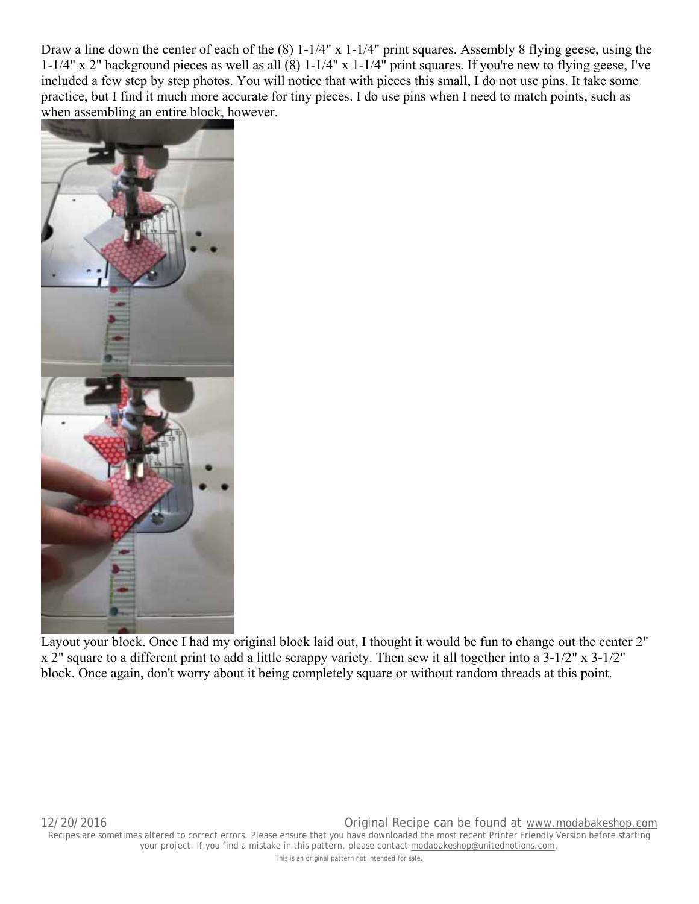Draw a line down the center of each of the (8) 1-1/4" x 1-1/4" print squares. Assembly 8 flying geese, using the 1-1/4" x 2" background pieces as well as all (8) 1-1/4" x 1-1/4" print squares. If you're new to flying geese, I've included a few step by step photos. You will notice that with pieces this small, I do not use pins. It take some practice, but I find it much more accurate for tiny pieces. I do use pins when I need to match points, such as when assembling an entire block, however.



Layout your block. Once I had my original block laid out, I thought it would be fun to change out the center 2" x 2" square to a different print to add a little scrappy variety. Then sew it all together into a 3-1/2" x 3-1/2" block. Once again, don't worry about it being completely square or without random threads at this point.